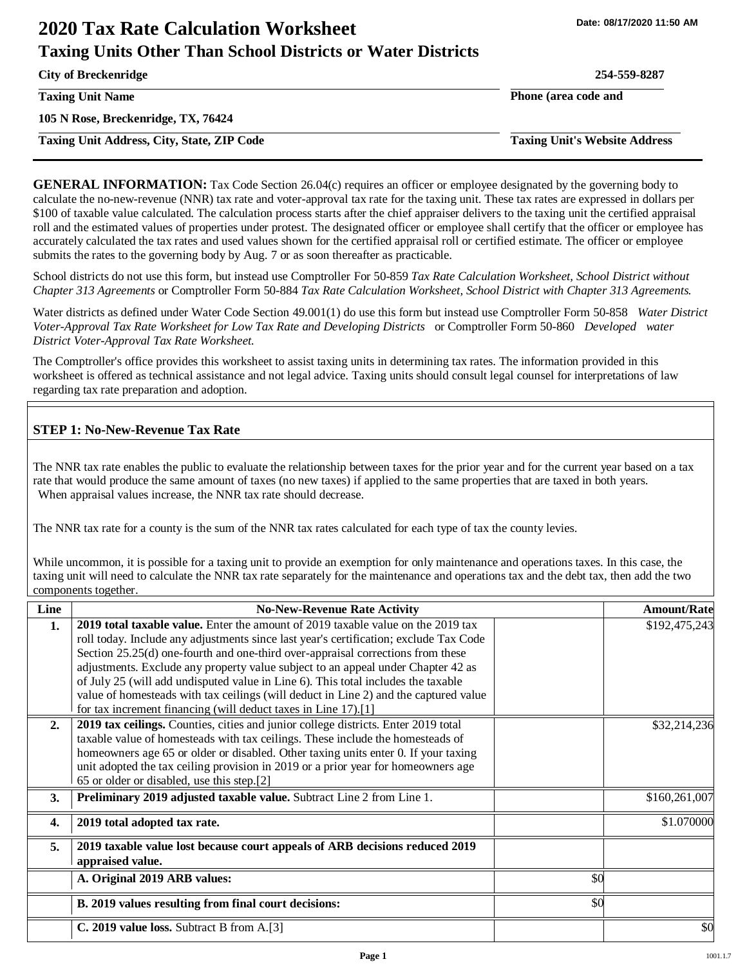# **2020 Tax Rate Calculation Worksheet Taxing Units Other Than School Districts or Water Districts**

**City of Breckenridge 254-559-8287**

**105 N Rose, Breckenridge, TX, 76424**

**Taxing Unit Address, City, State, ZIP Code Taxing Unit's Website Address**

**Taxing Unit Name Phone (area code and** 

**GENERAL INFORMATION:** Tax Code Section 26.04(c) requires an officer or employee designated by the governing body to calculate the no-new-revenue (NNR) tax rate and voter-approval tax rate for the taxing unit. These tax rates are expressed in dollars per \$100 of taxable value calculated. The calculation process starts after the chief appraiser delivers to the taxing unit the certified appraisal roll and the estimated values of properties under protest. The designated officer or employee shall certify that the officer or employee has accurately calculated the tax rates and used values shown for the certified appraisal roll or certified estimate. The officer or employee submits the rates to the governing body by Aug. 7 or as soon thereafter as practicable.

School districts do not use this form, but instead use Comptroller For 50-859 *Tax Rate Calculation Worksheet, School District without Chapter 313 Agreements* or Comptroller Form 50-884 *Tax Rate Calculation Worksheet, School District with Chapter 313 Agreements.* 

Water districts as defined under Water Code Section 49.001(1) do use this form but instead use Comptroller Form 50-858 *Water District Voter-Approval Tax Rate Worksheet for Low Tax Rate and Developing Districts* or Comptroller Form 50-860 *Developed water District Voter-Approval Tax Rate Worksheet.* 

The Comptroller's office provides this worksheet to assist taxing units in determining tax rates. The information provided in this worksheet is offered as technical assistance and not legal advice. Taxing units should consult legal counsel for interpretations of law regarding tax rate preparation and adoption.

## **STEP 1: No-New-Revenue Tax Rate**

The NNR tax rate enables the public to evaluate the relationship between taxes for the prior year and for the current year based on a tax rate that would produce the same amount of taxes (no new taxes) if applied to the same properties that are taxed in both years. When appraisal values increase, the NNR tax rate should decrease.

The NNR tax rate for a county is the sum of the NNR tax rates calculated for each type of tax the county levies.

While uncommon, it is possible for a taxing unit to provide an exemption for only maintenance and operations taxes. In this case, the taxing unit will need to calculate the NNR tax rate separately for the maintenance and operations tax and the debt tax, then add the two components together.

| Line             | <b>No-New-Revenue Rate Activity</b>                                                     |     | <b>Amount/Rate</b> |
|------------------|-----------------------------------------------------------------------------------------|-----|--------------------|
| 1.               | <b>2019 total taxable value.</b> Enter the amount of 2019 taxable value on the 2019 tax |     | \$192,475,243      |
|                  | roll today. Include any adjustments since last year's certification; exclude Tax Code   |     |                    |
|                  | Section 25.25(d) one-fourth and one-third over-appraisal corrections from these         |     |                    |
|                  | adjustments. Exclude any property value subject to an appeal under Chapter 42 as        |     |                    |
|                  | of July 25 (will add undisputed value in Line 6). This total includes the taxable       |     |                    |
|                  | value of homesteads with tax ceilings (will deduct in Line 2) and the captured value    |     |                    |
|                  | for tax increment financing (will deduct taxes in Line 17).[1]                          |     |                    |
| 2.               | 2019 tax ceilings. Counties, cities and junior college districts. Enter 2019 total      |     | \$32,214,236       |
|                  | taxable value of homesteads with tax ceilings. These include the homesteads of          |     |                    |
|                  | homeowners age 65 or older or disabled. Other taxing units enter 0. If your taxing      |     |                    |
|                  | unit adopted the tax ceiling provision in 2019 or a prior year for homeowners age       |     |                    |
|                  | 65 or older or disabled, use this step.[2]                                              |     |                    |
| 3.               | <b>Preliminary 2019 adjusted taxable value.</b> Subtract Line 2 from Line 1.            |     | \$160,261,007      |
| $\overline{4}$ . | 2019 total adopted tax rate.                                                            |     | \$1.070000         |
| 5.               | 2019 taxable value lost because court appeals of ARB decisions reduced 2019             |     |                    |
|                  | appraised value.                                                                        |     |                    |
|                  | A. Original 2019 ARB values:                                                            | \$0 |                    |
|                  | B. 2019 values resulting from final court decisions:                                    | \$0 |                    |
|                  | C. 2019 value loss. Subtract B from A.[3]                                               |     | \$0                |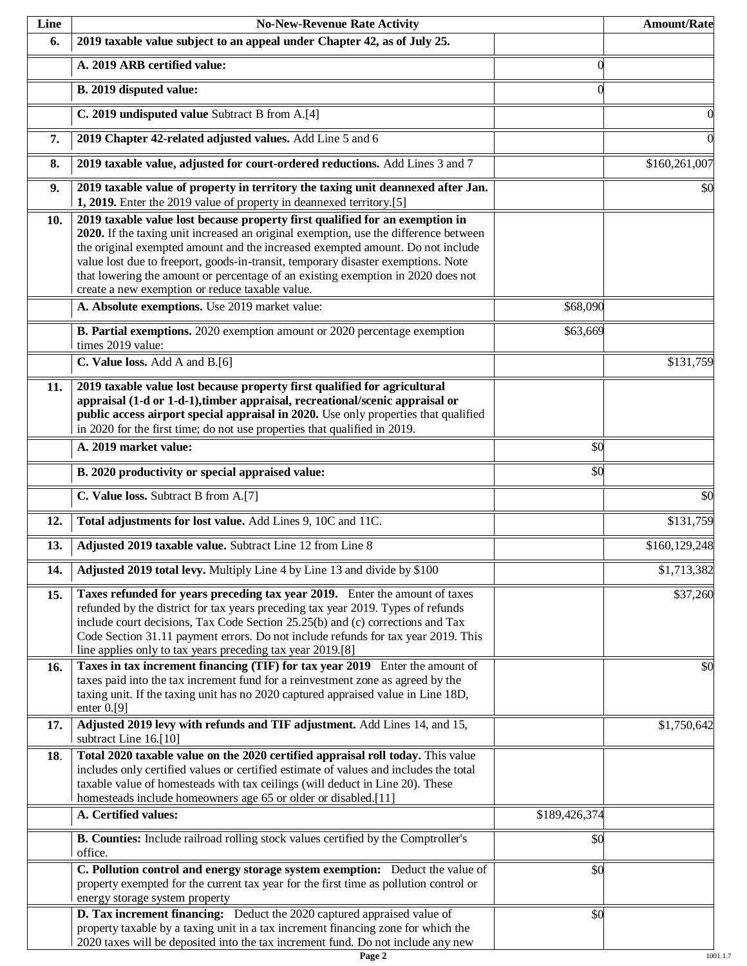| Line | <b>No-New-Revenue Rate Activity</b>                                                                                                                                                                                                                                                                                                                                                                                                                                                |               | <b>Amount/Rate</b> |
|------|------------------------------------------------------------------------------------------------------------------------------------------------------------------------------------------------------------------------------------------------------------------------------------------------------------------------------------------------------------------------------------------------------------------------------------------------------------------------------------|---------------|--------------------|
| 6.   | 2019 taxable value subject to an appeal under Chapter 42, as of July 25.                                                                                                                                                                                                                                                                                                                                                                                                           |               |                    |
|      | A. 2019 ARB certified value:                                                                                                                                                                                                                                                                                                                                                                                                                                                       | $\theta$      |                    |
|      | B. 2019 disputed value:                                                                                                                                                                                                                                                                                                                                                                                                                                                            | $\Omega$      |                    |
|      | C. 2019 undisputed value Subtract B from A.[4]                                                                                                                                                                                                                                                                                                                                                                                                                                     |               |                    |
| 7.   | 2019 Chapter 42-related adjusted values. Add Line 5 and 6                                                                                                                                                                                                                                                                                                                                                                                                                          |               |                    |
| 8.   | 2019 taxable value, adjusted for court-ordered reductions. Add Lines 3 and 7                                                                                                                                                                                                                                                                                                                                                                                                       |               | \$160,261,007      |
| 9.   | 2019 taxable value of property in territory the taxing unit deannexed after Jan.<br>1, 2019. Enter the 2019 value of property in deannexed territory.[5]                                                                                                                                                                                                                                                                                                                           |               | \$0                |
| 10.  | 2019 taxable value lost because property first qualified for an exemption in<br>2020. If the taxing unit increased an original exemption, use the difference between<br>the original exempted amount and the increased exempted amount. Do not include<br>value lost due to freeport, goods-in-transit, temporary disaster exemptions. Note<br>that lowering the amount or percentage of an existing exemption in 2020 does not<br>create a new exemption or reduce taxable value. |               |                    |
|      | A. Absolute exemptions. Use 2019 market value:                                                                                                                                                                                                                                                                                                                                                                                                                                     | \$68,090      |                    |
|      | <b>B. Partial exemptions.</b> 2020 exemption amount or 2020 percentage exemption<br>times 2019 value:                                                                                                                                                                                                                                                                                                                                                                              | \$63,669      |                    |
|      | C. Value loss. Add A and B.[6]                                                                                                                                                                                                                                                                                                                                                                                                                                                     |               | \$131,759          |
| 11.  | 2019 taxable value lost because property first qualified for agricultural<br>appraisal (1-d or 1-d-1), timber appraisal, recreational/scenic appraisal or<br>public access airport special appraisal in 2020. Use only properties that qualified<br>in 2020 for the first time; do not use properties that qualified in 2019.                                                                                                                                                      |               |                    |
|      | A. 2019 market value:                                                                                                                                                                                                                                                                                                                                                                                                                                                              | \$0           |                    |
|      | B. 2020 productivity or special appraised value:                                                                                                                                                                                                                                                                                                                                                                                                                                   | \$0           |                    |
|      | C. Value loss. Subtract B from A.[7]                                                                                                                                                                                                                                                                                                                                                                                                                                               |               | \$0                |
| 12.  | Total adjustments for lost value. Add Lines 9, 10C and 11C.                                                                                                                                                                                                                                                                                                                                                                                                                        |               | \$131,759          |
| 13.  | Adjusted 2019 taxable value. Subtract Line 12 from Line 8                                                                                                                                                                                                                                                                                                                                                                                                                          |               | \$160,129,248      |
| 14.  | Adjusted 2019 total levy. Multiply Line 4 by Line 13 and divide by \$100                                                                                                                                                                                                                                                                                                                                                                                                           |               | \$1,713,382        |
| 15.  | Taxes refunded for years preceding tax year 2019. Enter the amount of taxes<br>refunded by the district for tax years preceding tax year 2019. Types of refunds<br>include court decisions, Tax Code Section 25.25(b) and (c) corrections and Tax<br>Code Section 31.11 payment errors. Do not include refunds for tax year 2019. This<br>line applies only to tax years preceding tax year 2019.[8]                                                                               |               | \$37,260           |
| 16.  | Taxes in tax increment financing (TIF) for tax year 2019 Enter the amount of<br>taxes paid into the tax increment fund for a reinvestment zone as agreed by the<br>taxing unit. If the taxing unit has no 2020 captured appraised value in Line 18D,<br>enter $0. [9]$                                                                                                                                                                                                             |               | \$0                |
| 17.  | Adjusted 2019 levy with refunds and TIF adjustment. Add Lines 14, and 15,<br>subtract Line 16.[10]                                                                                                                                                                                                                                                                                                                                                                                 |               | \$1,750,642        |
| 18.  | Total 2020 taxable value on the 2020 certified appraisal roll today. This value<br>includes only certified values or certified estimate of values and includes the total<br>taxable value of homesteads with tax ceilings (will deduct in Line 20). These<br>homesteads include homeowners age 65 or older or disabled.[11]                                                                                                                                                        |               |                    |
|      | A. Certified values:                                                                                                                                                                                                                                                                                                                                                                                                                                                               | \$189,426,374 |                    |
|      | <b>B. Counties:</b> Include railroad rolling stock values certified by the Comptroller's<br>office.                                                                                                                                                                                                                                                                                                                                                                                | \$0           |                    |
|      | C. Pollution control and energy storage system exemption: Deduct the value of<br>property exempted for the current tax year for the first time as pollution control or<br>energy storage system property                                                                                                                                                                                                                                                                           | \$0           |                    |
|      | D. Tax increment financing: Deduct the 2020 captured appraised value of<br>property taxable by a taxing unit in a tax increment financing zone for which the<br>2020 taxes will be deposited into the tax increment fund. Do not include any new                                                                                                                                                                                                                                   | \$0           |                    |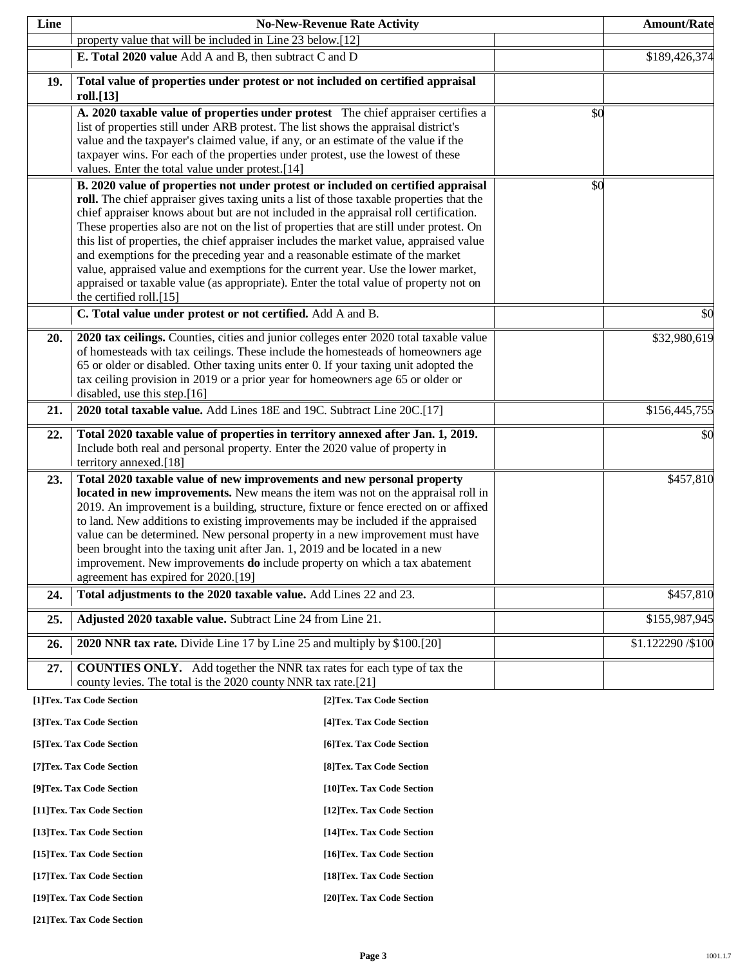| Line                                                     |                                                                                                                                                                           | <b>No-New-Revenue Rate Activity</b> |     | <b>Amount/Rate</b> |
|----------------------------------------------------------|---------------------------------------------------------------------------------------------------------------------------------------------------------------------------|-------------------------------------|-----|--------------------|
|                                                          | property value that will be included in Line 23 below.[12]                                                                                                                |                                     |     |                    |
|                                                          | E. Total 2020 value Add A and B, then subtract C and D                                                                                                                    |                                     |     | \$189,426,374      |
| 19.                                                      | Total value of properties under protest or not included on certified appraisal                                                                                            |                                     |     |                    |
|                                                          | roll.[13]                                                                                                                                                                 |                                     |     |                    |
|                                                          | A. 2020 taxable value of properties under protest The chief appraiser certifies a<br>list of properties still under ARB protest. The list shows the appraisal district's  |                                     | \$0 |                    |
|                                                          | value and the taxpayer's claimed value, if any, or an estimate of the value if the                                                                                        |                                     |     |                    |
|                                                          | taxpayer wins. For each of the properties under protest, use the lowest of these                                                                                          |                                     |     |                    |
|                                                          | values. Enter the total value under protest.[14]<br>B. 2020 value of properties not under protest or included on certified appraisal                                      |                                     | \$0 |                    |
|                                                          | roll. The chief appraiser gives taxing units a list of those taxable properties that the                                                                                  |                                     |     |                    |
|                                                          | chief appraiser knows about but are not included in the appraisal roll certification.                                                                                     |                                     |     |                    |
|                                                          | These properties also are not on the list of properties that are still under protest. On                                                                                  |                                     |     |                    |
|                                                          | this list of properties, the chief appraiser includes the market value, appraised value<br>and exemptions for the preceding year and a reasonable estimate of the market  |                                     |     |                    |
|                                                          | value, appraised value and exemptions for the current year. Use the lower market,                                                                                         |                                     |     |                    |
|                                                          | appraised or taxable value (as appropriate). Enter the total value of property not on                                                                                     |                                     |     |                    |
|                                                          | the certified roll.[15]<br>C. Total value under protest or not certified. Add A and B.                                                                                    |                                     |     | \$0                |
|                                                          |                                                                                                                                                                           |                                     |     |                    |
| 20.                                                      | 2020 tax ceilings. Counties, cities and junior colleges enter 2020 total taxable value<br>of homesteads with tax ceilings. These include the homesteads of homeowners age |                                     |     | \$32,980,619       |
|                                                          | 65 or older or disabled. Other taxing units enter 0. If your taxing unit adopted the                                                                                      |                                     |     |                    |
|                                                          | tax ceiling provision in 2019 or a prior year for homeowners age 65 or older or                                                                                           |                                     |     |                    |
|                                                          | disabled, use this step.[16]                                                                                                                                              |                                     |     |                    |
| 21.                                                      | 2020 total taxable value. Add Lines 18E and 19C. Subtract Line 20C.[17]                                                                                                   |                                     |     | \$156,445,755      |
| 22.                                                      | Total 2020 taxable value of properties in territory annexed after Jan. 1, 2019.<br>Include both real and personal property. Enter the 2020 value of property in           |                                     |     | \$0                |
|                                                          | territory annexed.[18]                                                                                                                                                    |                                     |     |                    |
| 23.                                                      | Total 2020 taxable value of new improvements and new personal property                                                                                                    |                                     |     | \$457,810          |
|                                                          | located in new improvements. New means the item was not on the appraisal roll in                                                                                          |                                     |     |                    |
|                                                          | 2019. An improvement is a building, structure, fixture or fence erected on or affixed<br>to land. New additions to existing improvements may be included if the appraised |                                     |     |                    |
|                                                          | value can be determined. New personal property in a new improvement must have                                                                                             |                                     |     |                    |
|                                                          | been brought into the taxing unit after Jan. 1, 2019 and be located in a new                                                                                              |                                     |     |                    |
|                                                          | improvement. New improvements <b>do</b> include property on which a tax abatement<br>agreement has expired for 2020.[19]                                                  |                                     |     |                    |
| 24.                                                      | Total adjustments to the 2020 taxable value. Add Lines 22 and 23.                                                                                                         |                                     |     | \$457,810          |
| 25.                                                      | Adjusted 2020 taxable value. Subtract Line 24 from Line 21.                                                                                                               |                                     |     | \$155,987,945      |
| 26.                                                      | 2020 NNR tax rate. Divide Line 17 by Line 25 and multiply by \$100.[20]                                                                                                   |                                     |     | \$1.122290/\$100   |
|                                                          |                                                                                                                                                                           |                                     |     |                    |
| 27.                                                      | <b>COUNTIES ONLY.</b> Add together the NNR tax rates for each type of tax the<br>county levies. The total is the 2020 county NNR tax rate.[21]                            |                                     |     |                    |
|                                                          | [1]Tex. Tax Code Section                                                                                                                                                  | [2] Tex. Tax Code Section           |     |                    |
|                                                          | [3]Tex. Tax Code Section                                                                                                                                                  | [4] Tex. Tax Code Section           |     |                    |
|                                                          | [5]Tex. Tax Code Section                                                                                                                                                  | [6] Tex. Tax Code Section           |     |                    |
| [7] Tex. Tax Code Section<br>[8] Tex. Tax Code Section   |                                                                                                                                                                           |                                     |     |                    |
| [9]Tex. Tax Code Section<br>[10]Tex. Tax Code Section    |                                                                                                                                                                           |                                     |     |                    |
| [11]Tex. Tax Code Section<br>[12] Tex. Tax Code Section  |                                                                                                                                                                           |                                     |     |                    |
|                                                          | [13] Tex. Tax Code Section                                                                                                                                                | [14] Tex. Tax Code Section          |     |                    |
| [15] Tex. Tax Code Section<br>[16] Tex. Tax Code Section |                                                                                                                                                                           |                                     |     |                    |
|                                                          | [17] Tex. Tax Code Section<br>[18] Tex. Tax Code Section                                                                                                                  |                                     |     |                    |
| [19]Tex. Tax Code Section<br>[20]Tex. Tax Code Section   |                                                                                                                                                                           |                                     |     |                    |

**[21]Tex. Tax Code Section**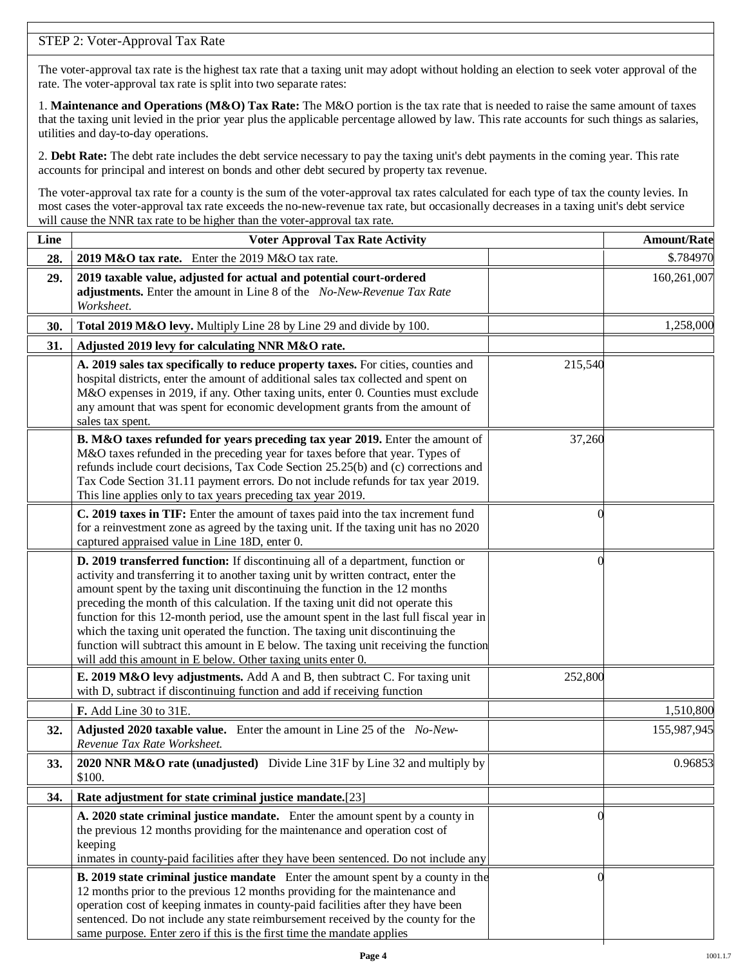## STEP 2: Voter-Approval Tax Rate

The voter-approval tax rate is the highest tax rate that a taxing unit may adopt without holding an election to seek voter approval of the rate. The voter-approval tax rate is split into two separate rates:

1. **Maintenance and Operations (M&O) Tax Rate:** The M&O portion is the tax rate that is needed to raise the same amount of taxes that the taxing unit levied in the prior year plus the applicable percentage allowed by law. This rate accounts for such things as salaries, utilities and day-to-day operations.

2. **Debt Rate:** The debt rate includes the debt service necessary to pay the taxing unit's debt payments in the coming year. This rate accounts for principal and interest on bonds and other debt secured by property tax revenue.

The voter-approval tax rate for a county is the sum of the voter-approval tax rates calculated for each type of tax the county levies. In most cases the voter-approval tax rate exceeds the no-new-revenue tax rate, but occasionally decreases in a taxing unit's debt service will cause the NNR tax rate to be higher than the voter-approval tax rate.

| Line | <b>Voter Approval Tax Rate Activity</b>                                                                                                                                                                                                                                                                                                                                                                                                                                                                                                                                                                                                                                        |          | <b>Amount/Rate</b> |
|------|--------------------------------------------------------------------------------------------------------------------------------------------------------------------------------------------------------------------------------------------------------------------------------------------------------------------------------------------------------------------------------------------------------------------------------------------------------------------------------------------------------------------------------------------------------------------------------------------------------------------------------------------------------------------------------|----------|--------------------|
| 28.  | 2019 M&O tax rate. Enter the 2019 M&O tax rate.                                                                                                                                                                                                                                                                                                                                                                                                                                                                                                                                                                                                                                |          | \$.784970          |
| 29.  | 2019 taxable value, adjusted for actual and potential court-ordered<br>adjustments. Enter the amount in Line 8 of the No-New-Revenue Tax Rate<br>Worksheet.                                                                                                                                                                                                                                                                                                                                                                                                                                                                                                                    |          | 160,261,007        |
| 30.  | Total 2019 M&O levy. Multiply Line 28 by Line 29 and divide by 100.                                                                                                                                                                                                                                                                                                                                                                                                                                                                                                                                                                                                            |          | 1,258,000          |
| 31.  | Adjusted 2019 levy for calculating NNR M&O rate.                                                                                                                                                                                                                                                                                                                                                                                                                                                                                                                                                                                                                               |          |                    |
|      | A. 2019 sales tax specifically to reduce property taxes. For cities, counties and<br>hospital districts, enter the amount of additional sales tax collected and spent on<br>M&O expenses in 2019, if any. Other taxing units, enter 0. Counties must exclude<br>any amount that was spent for economic development grants from the amount of<br>sales tax spent.                                                                                                                                                                                                                                                                                                               | 215,540  |                    |
|      | B. M&O taxes refunded for years preceding tax year 2019. Enter the amount of<br>M&O taxes refunded in the preceding year for taxes before that year. Types of<br>refunds include court decisions, Tax Code Section 25.25(b) and (c) corrections and<br>Tax Code Section 31.11 payment errors. Do not include refunds for tax year 2019.<br>This line applies only to tax years preceding tax year 2019.                                                                                                                                                                                                                                                                        | 37,260   |                    |
|      | C. 2019 taxes in TIF: Enter the amount of taxes paid into the tax increment fund<br>for a reinvestment zone as agreed by the taxing unit. If the taxing unit has no 2020<br>captured appraised value in Line 18D, enter 0.                                                                                                                                                                                                                                                                                                                                                                                                                                                     | $\Omega$ |                    |
|      | D. 2019 transferred function: If discontinuing all of a department, function or<br>activity and transferring it to another taxing unit by written contract, enter the<br>amount spent by the taxing unit discontinuing the function in the 12 months<br>preceding the month of this calculation. If the taxing unit did not operate this<br>function for this 12-month period, use the amount spent in the last full fiscal year in<br>which the taxing unit operated the function. The taxing unit discontinuing the<br>function will subtract this amount in E below. The taxing unit receiving the function<br>will add this amount in E below. Other taxing units enter 0. | $\Omega$ |                    |
|      | E. 2019 M&O levy adjustments. Add A and B, then subtract C. For taxing unit<br>with D, subtract if discontinuing function and add if receiving function                                                                                                                                                                                                                                                                                                                                                                                                                                                                                                                        | 252,800  |                    |
|      | F. Add Line 30 to 31E.                                                                                                                                                                                                                                                                                                                                                                                                                                                                                                                                                                                                                                                         |          | 1,510,800          |
| 32.  | Adjusted 2020 taxable value. Enter the amount in Line 25 of the No-New-<br>Revenue Tax Rate Worksheet.                                                                                                                                                                                                                                                                                                                                                                                                                                                                                                                                                                         |          | 155,987,945        |
| 33.  | 2020 NNR M&O rate (unadjusted) Divide Line 31F by Line 32 and multiply by<br>\$100.                                                                                                                                                                                                                                                                                                                                                                                                                                                                                                                                                                                            |          | 0.96853            |
| 34.  | Rate adjustment for state criminal justice mandate.[23]                                                                                                                                                                                                                                                                                                                                                                                                                                                                                                                                                                                                                        |          |                    |
|      | A. 2020 state criminal justice mandate. Enter the amount spent by a county in<br>the previous 12 months providing for the maintenance and operation cost of<br>keeping<br>inmates in county-paid facilities after they have been sentenced. Do not include any                                                                                                                                                                                                                                                                                                                                                                                                                 | 0        |                    |
|      | <b>B. 2019 state criminal justice mandate</b> Enter the amount spent by a county in the<br>12 months prior to the previous 12 months providing for the maintenance and<br>operation cost of keeping inmates in county-paid facilities after they have been<br>sentenced. Do not include any state reimbursement received by the county for the<br>same purpose. Enter zero if this is the first time the mandate applies                                                                                                                                                                                                                                                       |          |                    |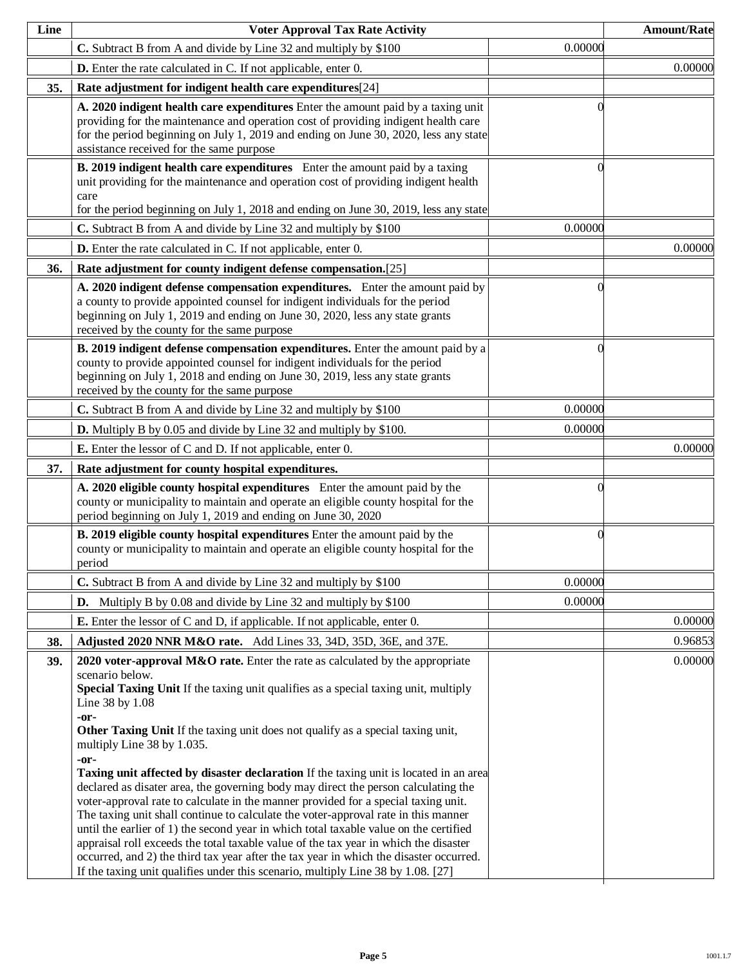| Line | <b>Voter Approval Tax Rate Activity</b>                                                                                                                                                                                                                                                                                                                                                                                                                                                                                                                                                                                                                                                                                                                                                                                                                                                                                                                                                                                                                                      |          | <b>Amount/Rate</b> |
|------|------------------------------------------------------------------------------------------------------------------------------------------------------------------------------------------------------------------------------------------------------------------------------------------------------------------------------------------------------------------------------------------------------------------------------------------------------------------------------------------------------------------------------------------------------------------------------------------------------------------------------------------------------------------------------------------------------------------------------------------------------------------------------------------------------------------------------------------------------------------------------------------------------------------------------------------------------------------------------------------------------------------------------------------------------------------------------|----------|--------------------|
|      | C. Subtract B from A and divide by Line 32 and multiply by \$100                                                                                                                                                                                                                                                                                                                                                                                                                                                                                                                                                                                                                                                                                                                                                                                                                                                                                                                                                                                                             | 0.00000  |                    |
|      | <b>D.</b> Enter the rate calculated in C. If not applicable, enter 0.                                                                                                                                                                                                                                                                                                                                                                                                                                                                                                                                                                                                                                                                                                                                                                                                                                                                                                                                                                                                        |          | 0.00000            |
| 35.  | Rate adjustment for indigent health care expenditures[24]                                                                                                                                                                                                                                                                                                                                                                                                                                                                                                                                                                                                                                                                                                                                                                                                                                                                                                                                                                                                                    |          |                    |
|      | A. 2020 indigent health care expenditures Enter the amount paid by a taxing unit<br>providing for the maintenance and operation cost of providing indigent health care<br>for the period beginning on July 1, 2019 and ending on June 30, 2020, less any state<br>assistance received for the same purpose                                                                                                                                                                                                                                                                                                                                                                                                                                                                                                                                                                                                                                                                                                                                                                   |          |                    |
|      | B. 2019 indigent health care expenditures Enter the amount paid by a taxing<br>unit providing for the maintenance and operation cost of providing indigent health<br>care<br>for the period beginning on July 1, 2018 and ending on June 30, 2019, less any state                                                                                                                                                                                                                                                                                                                                                                                                                                                                                                                                                                                                                                                                                                                                                                                                            |          |                    |
|      | C. Subtract B from A and divide by Line 32 and multiply by \$100                                                                                                                                                                                                                                                                                                                                                                                                                                                                                                                                                                                                                                                                                                                                                                                                                                                                                                                                                                                                             | 0.00000  |                    |
|      | D. Enter the rate calculated in C. If not applicable, enter 0.                                                                                                                                                                                                                                                                                                                                                                                                                                                                                                                                                                                                                                                                                                                                                                                                                                                                                                                                                                                                               |          | 0.00000            |
| 36.  | Rate adjustment for county indigent defense compensation.[25]                                                                                                                                                                                                                                                                                                                                                                                                                                                                                                                                                                                                                                                                                                                                                                                                                                                                                                                                                                                                                |          |                    |
|      | A. 2020 indigent defense compensation expenditures. Enter the amount paid by<br>a county to provide appointed counsel for indigent individuals for the period<br>beginning on July 1, 2019 and ending on June 30, 2020, less any state grants<br>received by the county for the same purpose                                                                                                                                                                                                                                                                                                                                                                                                                                                                                                                                                                                                                                                                                                                                                                                 |          |                    |
|      | B. 2019 indigent defense compensation expenditures. Enter the amount paid by a<br>county to provide appointed counsel for indigent individuals for the period<br>beginning on July 1, 2018 and ending on June 30, 2019, less any state grants<br>received by the county for the same purpose                                                                                                                                                                                                                                                                                                                                                                                                                                                                                                                                                                                                                                                                                                                                                                                 | $\Omega$ |                    |
|      | C. Subtract B from A and divide by Line 32 and multiply by \$100                                                                                                                                                                                                                                                                                                                                                                                                                                                                                                                                                                                                                                                                                                                                                                                                                                                                                                                                                                                                             | 0.00000  |                    |
|      | <b>D.</b> Multiply B by 0.05 and divide by Line 32 and multiply by \$100.                                                                                                                                                                                                                                                                                                                                                                                                                                                                                                                                                                                                                                                                                                                                                                                                                                                                                                                                                                                                    | 0.00000  |                    |
|      | <b>E.</b> Enter the lessor of C and D. If not applicable, enter 0.                                                                                                                                                                                                                                                                                                                                                                                                                                                                                                                                                                                                                                                                                                                                                                                                                                                                                                                                                                                                           |          | 0.00000            |
| 37.  | Rate adjustment for county hospital expenditures.                                                                                                                                                                                                                                                                                                                                                                                                                                                                                                                                                                                                                                                                                                                                                                                                                                                                                                                                                                                                                            |          |                    |
|      | A. 2020 eligible county hospital expenditures Enter the amount paid by the<br>county or municipality to maintain and operate an eligible county hospital for the<br>period beginning on July 1, 2019 and ending on June 30, 2020                                                                                                                                                                                                                                                                                                                                                                                                                                                                                                                                                                                                                                                                                                                                                                                                                                             | $\Omega$ |                    |
|      | B. 2019 eligible county hospital expenditures Enter the amount paid by the<br>county or municipality to maintain and operate an eligible county hospital for the<br>period                                                                                                                                                                                                                                                                                                                                                                                                                                                                                                                                                                                                                                                                                                                                                                                                                                                                                                   | $\theta$ |                    |
|      | C. Subtract B from A and divide by Line 32 and multiply by \$100                                                                                                                                                                                                                                                                                                                                                                                                                                                                                                                                                                                                                                                                                                                                                                                                                                                                                                                                                                                                             | 0.00000  |                    |
|      | <b>D.</b> Multiply B by 0.08 and divide by Line 32 and multiply by $$100$                                                                                                                                                                                                                                                                                                                                                                                                                                                                                                                                                                                                                                                                                                                                                                                                                                                                                                                                                                                                    | 0.00000  |                    |
|      | <b>E.</b> Enter the lessor of C and D, if applicable. If not applicable, enter 0.                                                                                                                                                                                                                                                                                                                                                                                                                                                                                                                                                                                                                                                                                                                                                                                                                                                                                                                                                                                            |          | 0.00000            |
| 38.  | Adjusted 2020 NNR M&O rate. Add Lines 33, 34D, 35D, 36E, and 37E.                                                                                                                                                                                                                                                                                                                                                                                                                                                                                                                                                                                                                                                                                                                                                                                                                                                                                                                                                                                                            |          | 0.96853            |
| 39.  | 2020 voter-approval M&O rate. Enter the rate as calculated by the appropriate<br>scenario below.<br>Special Taxing Unit If the taxing unit qualifies as a special taxing unit, multiply<br>Line 38 by 1.08<br>-or-<br><b>Other Taxing Unit</b> If the taxing unit does not qualify as a special taxing unit,<br>multiply Line 38 by 1.035.<br>-or-<br>Taxing unit affected by disaster declaration If the taxing unit is located in an area<br>declared as disater area, the governing body may direct the person calculating the<br>voter-approval rate to calculate in the manner provided for a special taxing unit.<br>The taxing unit shall continue to calculate the voter-approval rate in this manner<br>until the earlier of 1) the second year in which total taxable value on the certified<br>appraisal roll exceeds the total taxable value of the tax year in which the disaster<br>occurred, and 2) the third tax year after the tax year in which the disaster occurred.<br>If the taxing unit qualifies under this scenario, multiply Line 38 by 1.08. [27] |          | 0.00000            |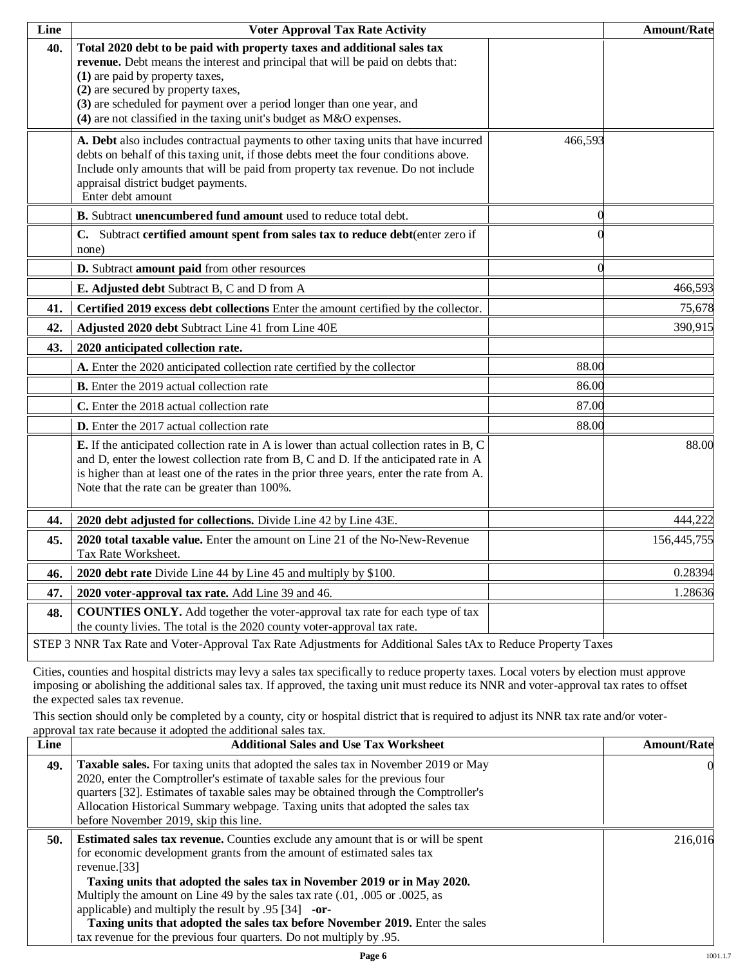| Line | <b>Voter Approval Tax Rate Activity</b>                                                                                                                                                                                                                                                                                                                                             |                | <b>Amount/Rate</b> |
|------|-------------------------------------------------------------------------------------------------------------------------------------------------------------------------------------------------------------------------------------------------------------------------------------------------------------------------------------------------------------------------------------|----------------|--------------------|
| 40.  | Total 2020 debt to be paid with property taxes and additional sales tax<br>revenue. Debt means the interest and principal that will be paid on debts that:<br>(1) are paid by property taxes,<br>(2) are secured by property taxes,<br>(3) are scheduled for payment over a period longer than one year, and<br>(4) are not classified in the taxing unit's budget as M&O expenses. |                |                    |
|      | A. Debt also includes contractual payments to other taxing units that have incurred<br>debts on behalf of this taxing unit, if those debts meet the four conditions above.<br>Include only amounts that will be paid from property tax revenue. Do not include<br>appraisal district budget payments.<br>Enter debt amount                                                          | 466,593        |                    |
|      | B. Subtract unencumbered fund amount used to reduce total debt.                                                                                                                                                                                                                                                                                                                     | $\overline{0}$ |                    |
|      | C. Subtract certified amount spent from sales tax to reduce debt(enter zero if<br>none)                                                                                                                                                                                                                                                                                             | $\Omega$       |                    |
|      | D. Subtract amount paid from other resources                                                                                                                                                                                                                                                                                                                                        | $\overline{0}$ |                    |
|      | E. Adjusted debt Subtract B, C and D from A                                                                                                                                                                                                                                                                                                                                         |                | 466,593            |
| 41.  | Certified 2019 excess debt collections Enter the amount certified by the collector.                                                                                                                                                                                                                                                                                                 |                | 75,678             |
| 42.  | Adjusted 2020 debt Subtract Line 41 from Line 40E                                                                                                                                                                                                                                                                                                                                   |                | 390,915            |
| 43.  | 2020 anticipated collection rate.                                                                                                                                                                                                                                                                                                                                                   |                |                    |
|      | A. Enter the 2020 anticipated collection rate certified by the collector                                                                                                                                                                                                                                                                                                            | 88.00          |                    |
|      | <b>B.</b> Enter the 2019 actual collection rate                                                                                                                                                                                                                                                                                                                                     | 86.00          |                    |
|      | C. Enter the 2018 actual collection rate                                                                                                                                                                                                                                                                                                                                            | 87.00          |                    |
|      | <b>D.</b> Enter the 2017 actual collection rate                                                                                                                                                                                                                                                                                                                                     | 88.00          |                    |
|      | E. If the anticipated collection rate in A is lower than actual collection rates in B, C<br>and D, enter the lowest collection rate from B, C and D. If the anticipated rate in A<br>is higher than at least one of the rates in the prior three years, enter the rate from A.<br>Note that the rate can be greater than 100%.                                                      |                | 88.00              |
| 44.  | 2020 debt adjusted for collections. Divide Line 42 by Line 43E.                                                                                                                                                                                                                                                                                                                     |                | 444,222            |
| 45.  | 2020 total taxable value. Enter the amount on Line 21 of the No-New-Revenue<br>Tax Rate Worksheet.                                                                                                                                                                                                                                                                                  |                | 156,445,755        |
| 46.  | 2020 debt rate Divide Line 44 by Line 45 and multiply by \$100.                                                                                                                                                                                                                                                                                                                     |                | 0.28394            |
| 47.  | 2020 voter-approval tax rate. Add Line 39 and 46.                                                                                                                                                                                                                                                                                                                                   |                | 1.28636            |
| 48.  | <b>COUNTIES ONLY.</b> Add together the voter-approval tax rate for each type of tax<br>the county livies. The total is the 2020 county voter-approval tax rate.                                                                                                                                                                                                                     |                |                    |
|      | STEP 3 NNR Tax Rate and Voter-Approval Tax Rate Adjustments for Additional Sales tAx to Reduce Property Taxes                                                                                                                                                                                                                                                                       |                |                    |

Cities, counties and hospital districts may levy a sales tax specifically to reduce property taxes. Local voters by election must approve imposing or abolishing the additional sales tax. If approved, the taxing unit must reduce its NNR and voter-approval tax rates to offset the expected sales tax revenue.

This section should only be completed by a county, city or hospital district that is required to adjust its NNR tax rate and/or voterapproval tax rate because it adopted the additional sales tax.

| Line | <b>Additional Sales and Use Tax Worksheet</b>                                            | <b>Amount/Rate</b> |
|------|------------------------------------------------------------------------------------------|--------------------|
| 49.  | Taxable sales. For taxing units that adopted the sales tax in November 2019 or May       |                    |
|      | 2020, enter the Comptroller's estimate of taxable sales for the previous four            |                    |
|      | quarters [32]. Estimates of taxable sales may be obtained through the Comptroller's      |                    |
|      | Allocation Historical Summary webpage. Taxing units that adopted the sales tax           |                    |
|      | before November 2019, skip this line.                                                    |                    |
| 50.  | <b>Estimated sales tax revenue.</b> Counties exclude any amount that is or will be spent | 216,016            |
|      | for economic development grants from the amount of estimated sales tax                   |                    |
|      | revenue.[33]                                                                             |                    |
|      | Taxing units that adopted the sales tax in November 2019 or in May 2020.                 |                    |
|      | Multiply the amount on Line 49 by the sales tax rate (.01, .005 or .0025, as             |                    |
|      | applicable) and multiply the result by $.95$ [34] -or-                                   |                    |
|      | Taxing units that adopted the sales tax before November 2019. Enter the sales            |                    |
|      | tax revenue for the previous four quarters. Do not multiply by 0.95.                     |                    |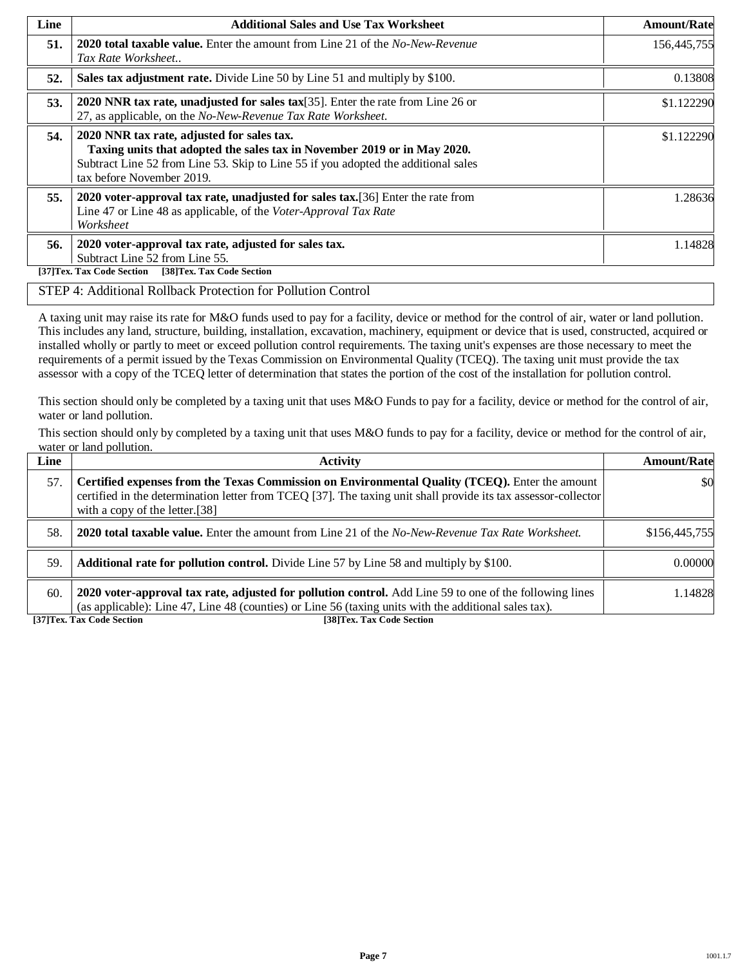| Line | <b>Additional Sales and Use Tax Worksheet</b>                                                                                                                                                                                             | <b>Amount/Rate</b> |
|------|-------------------------------------------------------------------------------------------------------------------------------------------------------------------------------------------------------------------------------------------|--------------------|
| 51.  | <b>2020 total taxable value.</b> Enter the amount from Line 21 of the <i>No-New-Revenue</i><br>Tax Rate Worksheet                                                                                                                         | 156,445,755        |
| 52.  | Sales tax adjustment rate. Divide Line 50 by Line 51 and multiply by \$100.                                                                                                                                                               | 0.13808            |
| 53.  | 2020 NNR tax rate, unadjusted for sales tax $[35]$ . Enter the rate from Line 26 or<br>27, as applicable, on the No-New-Revenue Tax Rate Worksheet.                                                                                       | \$1.122290         |
| 54.  | 2020 NNR tax rate, adjusted for sales tax.<br>Taxing units that adopted the sales tax in November 2019 or in May 2020.<br>Subtract Line 52 from Line 53. Skip to Line 55 if you adopted the additional sales<br>tax before November 2019. | \$1.122290         |
| 55.  | 2020 voter-approval tax rate, unadjusted for sales tax. [36] Enter the rate from<br>Line 47 or Line 48 as applicable, of the Voter-Approval Tax Rate<br>Worksheet                                                                         | 1.28636            |
| 56.  | 2020 voter-approval tax rate, adjusted for sales tax.<br>Subtract Line 52 from Line 55.<br>[37]Tex. Tax Code Section<br>[38]Tex. Tax Code Section                                                                                         | 1.14828            |

#### STEP 4: Additional Rollback Protection for Pollution Control

A taxing unit may raise its rate for M&O funds used to pay for a facility, device or method for the control of air, water or land pollution. This includes any land, structure, building, installation, excavation, machinery, equipment or device that is used, constructed, acquired or installed wholly or partly to meet or exceed pollution control requirements. The taxing unit's expenses are those necessary to meet the requirements of a permit issued by the Texas Commission on Environmental Quality (TCEQ). The taxing unit must provide the tax assessor with a copy of the TCEQ letter of determination that states the portion of the cost of the installation for pollution control.

This section should only be completed by a taxing unit that uses M&O Funds to pay for a facility, device or method for the control of air, water or land pollution.

This section should only by completed by a taxing unit that uses M&O funds to pay for a facility, device or method for the control of air, water or land pollution.

| Line | <b>Activity</b>                                                                                                                                                                                                                                    | <b>Amount/Rate</b> |
|------|----------------------------------------------------------------------------------------------------------------------------------------------------------------------------------------------------------------------------------------------------|--------------------|
| 57.  | Certified expenses from the Texas Commission on Environmental Quality (TCEQ). Enter the amount<br>certified in the determination letter from TCEQ [37]. The taxing unit shall provide its tax assessor-collector<br>with a copy of the letter.[38] | \$0                |
| .58. | <b>2020 total taxable value.</b> Enter the amount from Line 21 of the No-New-Revenue Tax Rate Worksheet.                                                                                                                                           | \$156,445,755      |
| 59.  | <b>Additional rate for pollution control.</b> Divide Line 57 by Line 58 and multiply by \$100.                                                                                                                                                     | 0.00000            |
| 60.  | 2020 voter-approval tax rate, adjusted for pollution control. Add Line 59 to one of the following lines<br>(as applicable): Line 47, Line 48 (counties) or Line 56 (taxing units with the additional sales tax).                                   | 1.14828            |

**[37]Tex. Tax Code Section [38]Tex. Tax Code Section**